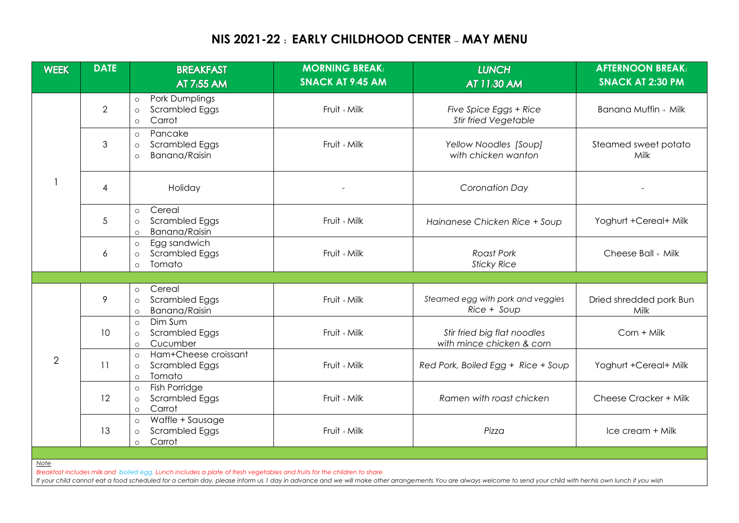## **NIS 2021-22 : EARLY CHILDHOOD CENTER – MAY MENU**

| <b>WEEK</b>                                                                                                                                                                                                                                                                                                                                           | <b>DATE</b>    | <b>BREAKFAST</b>                                                                    | <b>MORNING BREAK:</b>   | <b>LUNCH</b>                                             | <b>AFTERNOON BREAK:</b>         |  |  |  |
|-------------------------------------------------------------------------------------------------------------------------------------------------------------------------------------------------------------------------------------------------------------------------------------------------------------------------------------------------------|----------------|-------------------------------------------------------------------------------------|-------------------------|----------------------------------------------------------|---------------------------------|--|--|--|
|                                                                                                                                                                                                                                                                                                                                                       |                | AT 7:55 AM                                                                          | <b>SNACK AT 9:45 AM</b> | AT 11:30 AM                                              | <b>SNACK AT 2:30 PM</b>         |  |  |  |
|                                                                                                                                                                                                                                                                                                                                                       | $\overline{2}$ | <b>Pork Dumplings</b><br>$\circ$<br>Scrambled Eggs<br>$\circ$<br>Carrot<br>$\circ$  | Fruit + Milk            | Five Spice Eggs + Rice<br><b>Stir fried Vegetable</b>    | Banana Muffin + Milk            |  |  |  |
|                                                                                                                                                                                                                                                                                                                                                       | 3              | Pancake<br>$\circ$<br>Scrambled Eggs<br>$\circ$<br><b>Banana/Raisin</b><br>$\Omega$ | Fruit + Milk            | Yellow Noodles [Soup]<br>with chicken wanton             | Steamed sweet potato<br>Milk    |  |  |  |
|                                                                                                                                                                                                                                                                                                                                                       | 4              | Holiday                                                                             |                         | Coronation Day                                           |                                 |  |  |  |
|                                                                                                                                                                                                                                                                                                                                                       | 5              | Cereal<br>$\circ$<br>Scrambled Eggs<br>$\circ$<br>Banana/Raisin<br>$\circ$          | Fruit + Milk            | Hainanese Chicken Rice + Soup                            | Yoghurt +Cereal+ Milk           |  |  |  |
|                                                                                                                                                                                                                                                                                                                                                       | 6              | Egg sandwich<br>$\circ$<br>Scrambled Eggs<br>$\circ$<br>Tomato<br>$\Omega$          | Fruit + Milk            | <b>Roast Pork</b><br><b>Sticky Rice</b>                  | Cheese Ball + Milk              |  |  |  |
|                                                                                                                                                                                                                                                                                                                                                       |                |                                                                                     |                         |                                                          |                                 |  |  |  |
| 2                                                                                                                                                                                                                                                                                                                                                     | 9              | Cereal<br>$\circ$<br>Scrambled Eggs<br>$\circ$<br>Banana/Raisin<br>$\circ$          | Fruit + Milk            | Steamed egg with pork and veggies<br>Rice + Soup         | Dried shredded pork Bun<br>Milk |  |  |  |
|                                                                                                                                                                                                                                                                                                                                                       | 10             | Dim Sum<br>$\circ$<br>Scrambled Eggs<br>$\circ$<br>Cucumber<br>$\circ$              | Fruit + Milk            | Stir fried big flat noodles<br>with mince chicken & corn | Corn + Milk                     |  |  |  |
|                                                                                                                                                                                                                                                                                                                                                       | 11             | Ham+Cheese croissant<br>$\circ$<br>Scrambled Eggs<br>$\circ$<br>Tomato<br>$\circ$   | Fruit + Milk            | Red Pork, Boiled Egg + Rice + Soup                       | Yoghurt +Cereal+ Milk           |  |  |  |
|                                                                                                                                                                                                                                                                                                                                                       | 12             | Fish Porridge<br>$\circ$<br>Scrambled Eggs<br>$\circ$<br>Carrot<br>$\circ$          | Fruit + Milk            | Ramen with roast chicken                                 | Cheese Cracker + Milk           |  |  |  |
|                                                                                                                                                                                                                                                                                                                                                       | 13             | Waffle + Sausage<br>$\circ$<br>Scrambled Eggs<br>$\circ$<br>Carrot<br>$\circ$       | Fruit + Milk            | Pizza                                                    | Ice cream + Milk                |  |  |  |
|                                                                                                                                                                                                                                                                                                                                                       |                |                                                                                     |                         |                                                          |                                 |  |  |  |
| Note<br>Breakfast includes milk and boiled egg. Lunch includes a plate of fresh vegetables and fruits for the children to share.<br>If your child cannot eat a food scheduled for a certain day, please inform us 1 day in advance and we will make other arrangements. You are always welcome to send your child with her his own lunch if you wish. |                |                                                                                     |                         |                                                          |                                 |  |  |  |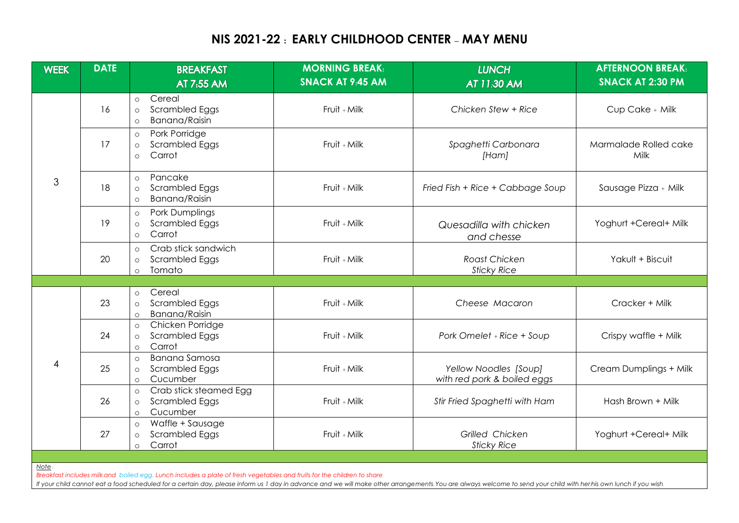## **NIS 2021-22 : EARLY CHILDHOOD CENTER – MAY MENU**

| <b>WEEK</b>                                                                                                                                                                                                       | <b>DATE</b> | <b>BREAKFAST</b>                                                                             | <b>MORNING BREAK:</b>   | <b>LUNCH</b>                                         | <b>AFTERNOON BREAK:</b>       |  |  |  |
|-------------------------------------------------------------------------------------------------------------------------------------------------------------------------------------------------------------------|-------------|----------------------------------------------------------------------------------------------|-------------------------|------------------------------------------------------|-------------------------------|--|--|--|
|                                                                                                                                                                                                                   |             | AT 7:55 AM                                                                                   | <b>SNACK AT 9:45 AM</b> | AT 11:30 AM                                          | <b>SNACK AT 2:30 PM</b>       |  |  |  |
| 3                                                                                                                                                                                                                 | 16          | Cereal<br>$\circ$<br>Scrambled Eggs<br>$\circ$<br>Banana/Raisin<br>$\circ$                   | $Frvit + Milk$          | Chicken Stew + Rice                                  | Cup Cake + Milk               |  |  |  |
|                                                                                                                                                                                                                   | 17          | Pork Porridge<br>$\circ$<br>Scrambled Eggs<br>$\circ$<br>Carrot<br>$\circ$                   | Fruit + Milk            | Spaghetti Carbonara<br>[Ham]                         | Marmalade Rolled cake<br>Milk |  |  |  |
|                                                                                                                                                                                                                   | 18          | Pancake<br>$\circ$<br><b>Scrambled Eggs</b><br>$\circ$<br>Banana/Raisin<br>$\circ$           | Fruit + Milk            | Fried Fish + Rice + Cabbage Soup                     | Sausage Pizza + Milk          |  |  |  |
|                                                                                                                                                                                                                   | 19          | Pork Dumplings<br>$\circ$<br><b>Scrambled Eggs</b><br>$\circ$<br>Carrot<br>$\circ$           | Fruit + Milk            | Quesadilla with chicken<br>and chesse                | Yoghurt +Cereal+ Milk         |  |  |  |
|                                                                                                                                                                                                                   | 20          | Crab stick sandwich<br>$\circ$<br><b>Scrambled Eggs</b><br>$\circ$<br>Tomato<br>$\circ$      | Fruit + Milk            | Roast Chicken<br><b>Sticky Rice</b>                  | Yakult + Biscuit              |  |  |  |
|                                                                                                                                                                                                                   |             |                                                                                              |                         |                                                      |                               |  |  |  |
| $\overline{4}$                                                                                                                                                                                                    | 23          | Cereal<br>$\circ$<br>Scrambled Eggs<br>$\circ$<br>Banana/Raisin<br>$\circ$                   | Fruit + Milk            | Cheese Macaron                                       | Cracker + Milk                |  |  |  |
|                                                                                                                                                                                                                   | 24          | Chicken Porridge<br>$\circ$<br>Scrambled Eggs<br>$\circ$<br>Carrot<br>$\circ$                | Fruit + Milk            | Pork Omelet + Rice + Soup                            | Crispy waffle + Milk          |  |  |  |
|                                                                                                                                                                                                                   | 25          | <b>Banana Samosa</b><br>$\circ$<br><b>Scrambled Eggs</b><br>$\circ$<br>Cucumber<br>$\circ$   | Fruit + Milk            | Yellow Noodles [Soup]<br>with red pork & boiled eggs | Cream Dumplings + Milk        |  |  |  |
|                                                                                                                                                                                                                   | 26          | Crab stick steamed Egg<br>$\circ$<br><b>Scrambled Eggs</b><br>$\circ$<br>Cucumber<br>$\circ$ | Fruit + Milk            | Stir Fried Spaghetti with Ham                        | Hash Brown + Milk             |  |  |  |
|                                                                                                                                                                                                                   | 27          | Waffle + Sausage<br>$\circ$<br>Scrambled Eggs<br>$\circ$<br>Carrot<br>$\circ$                | Fruit + Milk            | Grilled Chicken<br><b>Sticky Rice</b>                | Yoghurt +Cereal+ Milk         |  |  |  |
|                                                                                                                                                                                                                   |             |                                                                                              |                         |                                                      |                               |  |  |  |
| Note.<br>Breakfast includes milk and boiled egg. Lunch includes a plate of fresh vegetables and fruits for the children to share.                                                                                 |             |                                                                                              |                         |                                                      |                               |  |  |  |
| If your child cannot eat a food scheduled for a certain day, please inform us 1 day in advance and we will make other arrangements. You are always welcome to send your child with her his own lunch if you wish. |             |                                                                                              |                         |                                                      |                               |  |  |  |